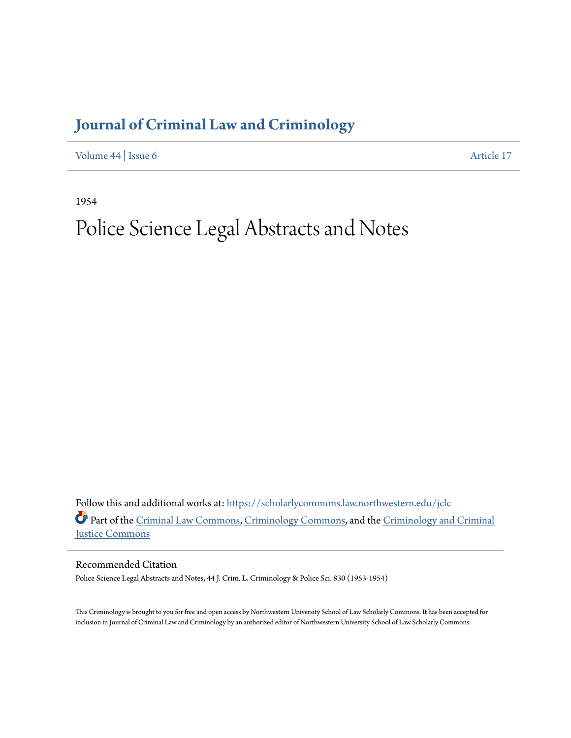## **[Journal of Criminal Law and Criminology](https://scholarlycommons.law.northwestern.edu/jclc?utm_source=scholarlycommons.law.northwestern.edu%2Fjclc%2Fvol44%2Fiss6%2F17&utm_medium=PDF&utm_campaign=PDFCoverPages)**

[Volume 44](https://scholarlycommons.law.northwestern.edu/jclc/vol44?utm_source=scholarlycommons.law.northwestern.edu%2Fjclc%2Fvol44%2Fiss6%2F17&utm_medium=PDF&utm_campaign=PDFCoverPages) | [Issue 6](https://scholarlycommons.law.northwestern.edu/jclc/vol44/iss6?utm_source=scholarlycommons.law.northwestern.edu%2Fjclc%2Fvol44%2Fiss6%2F17&utm_medium=PDF&utm_campaign=PDFCoverPages) [Article 17](https://scholarlycommons.law.northwestern.edu/jclc/vol44/iss6/17?utm_source=scholarlycommons.law.northwestern.edu%2Fjclc%2Fvol44%2Fiss6%2F17&utm_medium=PDF&utm_campaign=PDFCoverPages)

1954

## Police Science Legal Abstracts and Notes

Follow this and additional works at: [https://scholarlycommons.law.northwestern.edu/jclc](https://scholarlycommons.law.northwestern.edu/jclc?utm_source=scholarlycommons.law.northwestern.edu%2Fjclc%2Fvol44%2Fiss6%2F17&utm_medium=PDF&utm_campaign=PDFCoverPages) Part of the [Criminal Law Commons](http://network.bepress.com/hgg/discipline/912?utm_source=scholarlycommons.law.northwestern.edu%2Fjclc%2Fvol44%2Fiss6%2F17&utm_medium=PDF&utm_campaign=PDFCoverPages), [Criminology Commons](http://network.bepress.com/hgg/discipline/417?utm_source=scholarlycommons.law.northwestern.edu%2Fjclc%2Fvol44%2Fiss6%2F17&utm_medium=PDF&utm_campaign=PDFCoverPages), and the [Criminology and Criminal](http://network.bepress.com/hgg/discipline/367?utm_source=scholarlycommons.law.northwestern.edu%2Fjclc%2Fvol44%2Fiss6%2F17&utm_medium=PDF&utm_campaign=PDFCoverPages) [Justice Commons](http://network.bepress.com/hgg/discipline/367?utm_source=scholarlycommons.law.northwestern.edu%2Fjclc%2Fvol44%2Fiss6%2F17&utm_medium=PDF&utm_campaign=PDFCoverPages)

Recommended Citation

Police Science Legal Abstracts and Notes, 44 J. Crim. L. Criminology & Police Sci. 830 (1953-1954)

This Criminology is brought to you for free and open access by Northwestern University School of Law Scholarly Commons. It has been accepted for inclusion in Journal of Criminal Law and Criminology by an authorized editor of Northwestern University School of Law Scholarly Commons.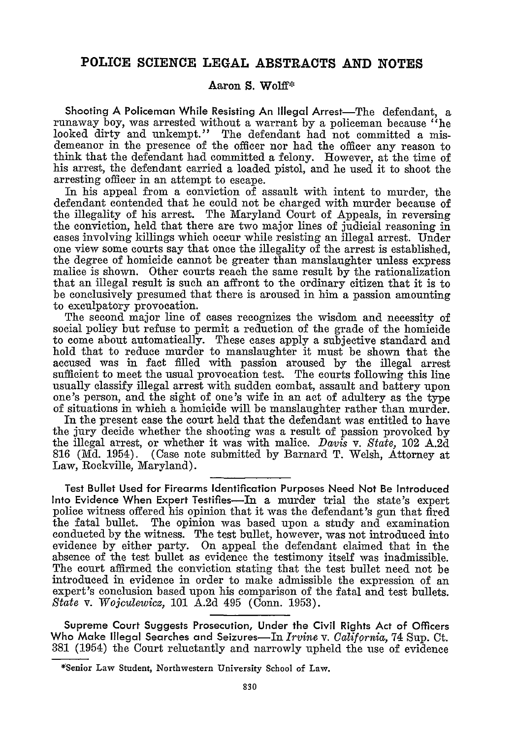## **POLICE SCIENCE LEGAL ABSTRACTS AND NOTES**

## **Aaron S. Wolff\***

Shooting A Policeman While Resisting An Illegal Arrest-The defendant, a runaway boy, was arrested without a warrant by a policeman because  $``$ he looked dirty and unkempt." The defendant had not committed a misdemeanor in the presence of the officer nor had the officer any reason to think that the defendant had committed a felony. However, at the time of his arrest, the defendant carried a loaded pistol, and he used it to shoot the arresting officer in an attempt to escape.

In his appeal from a conviction of assault with intent to murder, the defendant contended that he could not be charged with murder because of the illegality of his arrest. The Maryland Court of Appeals, in reversing the conviction, held that there are two major lines of judicial reasoning in cases involving killings which occur while resisting an illegal arrest. Under one view some courts say that once the illegality of the arrest is established, the degree of homicide cannot be greater than manslaughter unless express malice is shown. Other courts reach the same result by the rationalization that an illegal result is such an affront to the ordinary citizen that it is to be conclusively presumed that there is aroused in him a passion amounting to exculpatory provocation.

The second major line of cases recognizes the wisdom and necessity of social policy but refuse to permit a reduction of the grade of the homicide to come about automatically. These cases apply a subjective standard and hold that to reduce murder to manslaughter it must be shown that the accused was in fact filled with passion aroused **by** the illegal arrest sufficient to meet the usual provocation test. The courts following this line usually classify illegal arrest with sudden combat, assault and battery upon one's person, and the sight of one's wife in an act of adultery as the type of situations in which a homicide will be manslaughter rather than murder.

In the present case the court held that the defendant was entitled to have the jury decide whether the shooting was a result of passion provoked by the illegal arrest, or whether it was with malice. *Davis* v. *State,* 102 A.2d **816** (Md. 1954). (Case note submitted by Barnard T. Welsh, Attorney at Law, Rockville, Maryland).

Test Bullet Used for Firearms Identification Purposes Need Not Be Introduced Into Evidence When Expert Testifies-In a murder trial the state's expert police witness offered his opinion that it was the defendant's gun that fired the fatal bullet. The opinion was based upon a study and examination conducted by the witness. The test bullet, however, was not introduced into evidence by either party. On appeal the defendant claimed that in the absence of the test bullet as evidence the testimony itself was inadmissible. The court affirmed the conviction stating that the test bullet need not be introduced in evidence in order to make admissible the expression of an expert's conclusion based upon his comparison of the fatal and test bullets. State v. *Wojculewicz,* 101 A.2d 495 (Conn. 1953).

Supreme Court Suggests Prosecution, Under the Civil Rights Act of Officers Who Make Illegal Searches and Seizures-In *Irvine* v. *California,* 74 Sup. Ct. **381** (1954) the Court reluctantly and narrowly upheld the use of evidence

<sup>&#</sup>x27;1Senior Law Student, Northwestern University School of Law.